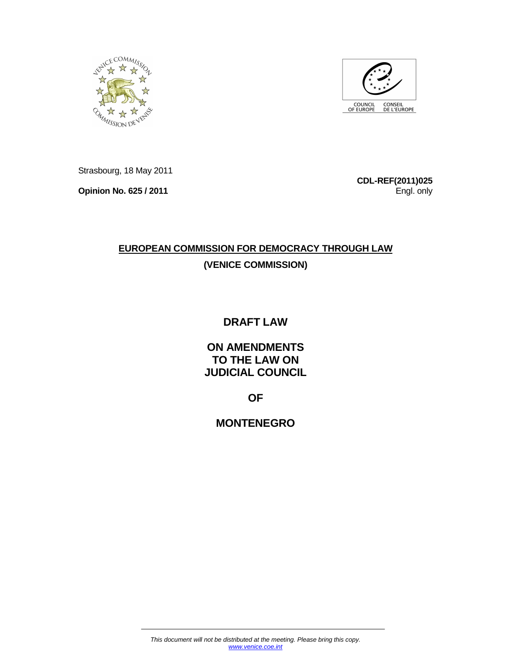



Strasbourg, 18 May 2011

**Opinion No. 625 / 2011** 

**CDL-REF(2011)025**  Engl. only

# **EUROPEAN COMMISSION FOR DEMOCRACY THROUGH LAW (VENICE COMMISSION)**

# **DRAFT LAW**

**ON AMENDMENTS TO THE LAW ON JUDICIAL COUNCIL** 

**OF** 

**MONTENEGRO**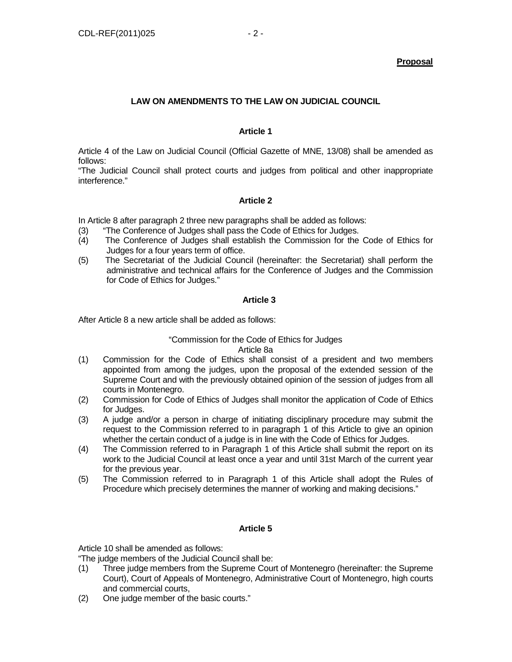## **LAW ON AMENDMENTS TO THE LAW ON JUDICIAL COUNCIL**

## **Article 1**

Article 4 of the Law on Judicial Council (Official Gazette of MNE, 13/08) shall be amended as follows:

"The Judicial Council shall protect courts and judges from political and other inappropriate interference."

## **Article 2**

In Article 8 after paragraph 2 three new paragraphs shall be added as follows:

- (3) "The Conference of Judges shall pass the Code of Ethics for Judges.
- (4) The Conference of Judges shall establish the Commission for the Code of Ethics for Judges for a four years term of office.
- (5) The Secretariat of the Judicial Council (hereinafter: the Secretariat) shall perform the administrative and technical affairs for the Conference of Judges and the Commission for Code of Ethics for Judges."

## **Article 3**

After Article 8 a new article shall be added as follows:

## "Commission for the Code of Ethics for Judges

Article 8a

- (1) Commission for the Code of Ethics shall consist of a president and two members appointed from among the judges, upon the proposal of the extended session of the Supreme Court and with the previously obtained opinion of the session of judges from all courts in Montenegro.
- (2) Commission for Code of Ethics of Judges shall monitor the application of Code of Ethics for Judges.
- (3) A judge and/or a person in charge of initiating disciplinary procedure may submit the request to the Commission referred to in paragraph 1 of this Article to give an opinion whether the certain conduct of a judge is in line with the Code of Ethics for Judges.
- (4) The Commission referred to in Paragraph 1 of this Article shall submit the report on its work to the Judicial Council at least once a year and until 31st March of the current year for the previous year.
- (5) The Commission referred to in Paragraph 1 of this Article shall adopt the Rules of Procedure which precisely determines the manner of working and making decisions."

## **Article 5**

Article 10 shall be amended as follows:

"The judge members of the Judicial Council shall be:

- (1) Three judge members from the Supreme Court of Montenegro (hereinafter: the Supreme Court), Court of Appeals of Montenegro, Administrative Court of Montenegro, high courts and commercial courts,
- (2) One judge member of the basic courts."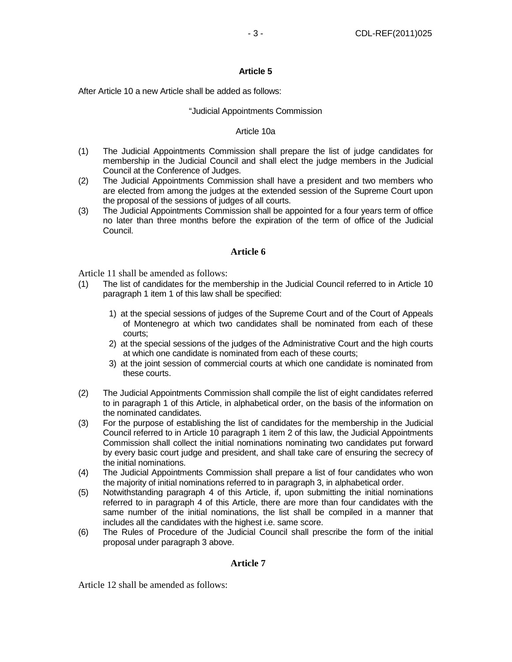After Article 10 a new Article shall be added as follows:

#### "Judicial Appointments Commission

#### Article 10a

- (1) The Judicial Appointments Commission shall prepare the list of judge candidates for membership in the Judicial Council and shall elect the judge members in the Judicial Council at the Conference of Judges.
- (2) The Judicial Appointments Commission shall have a president and two members who are elected from among the judges at the extended session of the Supreme Court upon the proposal of the sessions of judges of all courts.
- (3) The Judicial Appointments Commission shall be appointed for a four years term of office no later than three months before the expiration of the term of office of the Judicial Council.

#### **Article 6**

Article 11 shall be amended as follows:

- (1) The list of candidates for the membership in the Judicial Council referred to in Article 10 paragraph 1 item 1 of this law shall be specified:
	- 1) at the special sessions of judges of the Supreme Court and of the Court of Appeals of Montenegro at which two candidates shall be nominated from each of these courts;
	- 2) at the special sessions of the judges of the Administrative Court and the high courts at which one candidate is nominated from each of these courts;
	- 3) at the joint session of commercial courts at which one candidate is nominated from these courts.
- (2) The Judicial Appointments Commission shall compile the list of eight candidates referred to in paragraph 1 of this Article, in alphabetical order, on the basis of the information on the nominated candidates.
- (3) For the purpose of establishing the list of candidates for the membership in the Judicial Council referred to in Article 10 paragraph 1 item 2 of this law, the Judicial Appointments Commission shall collect the initial nominations nominating two candidates put forward by every basic court judge and president, and shall take care of ensuring the secrecy of the initial nominations.
- (4) The Judicial Appointments Commission shall prepare a list of four candidates who won the majority of initial nominations referred to in paragraph 3, in alphabetical order.
- (5) Notwithstanding paragraph 4 of this Article, if, upon submitting the initial nominations referred to in paragraph 4 of this Article, there are more than four candidates with the same number of the initial nominations, the list shall be compiled in a manner that includes all the candidates with the highest i.e. same score.
- (6) The Rules of Procedure of the Judicial Council shall prescribe the form of the initial proposal under paragraph 3 above.

#### **Article 7**

Article 12 shall be amended as follows: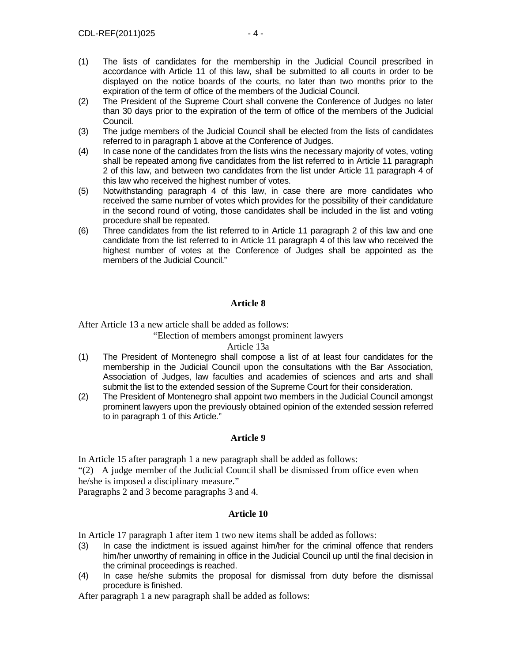- (1) The lists of candidates for the membership in the Judicial Council prescribed in accordance with Article 11 of this law, shall be submitted to all courts in order to be displayed on the notice boards of the courts, no later than two months prior to the expiration of the term of office of the members of the Judicial Council.
- (2) The President of the Supreme Court shall convene the Conference of Judges no later than 30 days prior to the expiration of the term of office of the members of the Judicial Council.
- (3) The judge members of the Judicial Council shall be elected from the lists of candidates referred to in paragraph 1 above at the Conference of Judges.
- (4) In case none of the candidates from the lists wins the necessary majority of votes, voting shall be repeated among five candidates from the list referred to in Article 11 paragraph 2 of this law, and between two candidates from the list under Article 11 paragraph 4 of this law who received the highest number of votes.
- (5) Notwithstanding paragraph 4 of this law, in case there are more candidates who received the same number of votes which provides for the possibility of their candidature in the second round of voting, those candidates shall be included in the list and voting procedure shall be repeated.
- (6) Three candidates from the list referred to in Article 11 paragraph 2 of this law and one candidate from the list referred to in Article 11 paragraph 4 of this law who received the highest number of votes at the Conference of Judges shall be appointed as the members of the Judicial Council."

After Article 13 a new article shall be added as follows:

"Election of members amongst prominent lawyers

## Article 13a

- (1) The President of Montenegro shall compose a list of at least four candidates for the membership in the Judicial Council upon the consultations with the Bar Association, Association of Judges, law faculties and academies of sciences and arts and shall submit the list to the extended session of the Supreme Court for their consideration.
- (2) The President of Montenegro shall appoint two members in the Judicial Council amongst prominent lawyers upon the previously obtained opinion of the extended session referred to in paragraph 1 of this Article."

## **Article 9**

In Article 15 after paragraph 1 a new paragraph shall be added as follows:

"(2) A judge member of the Judicial Council shall be dismissed from office even when he/she is imposed a disciplinary measure."

Paragraphs 2 and 3 become paragraphs 3 and 4.

# **Article 10**

In Article 17 paragraph 1 after item 1 two new items shall be added as follows:

- (3) In case the indictment is issued against him/her for the criminal offence that renders him/her unworthy of remaining in office in the Judicial Council up until the final decision in the criminal proceedings is reached.
- (4) In case he/she submits the proposal for dismissal from duty before the dismissal procedure is finished.

After paragraph 1 a new paragraph shall be added as follows: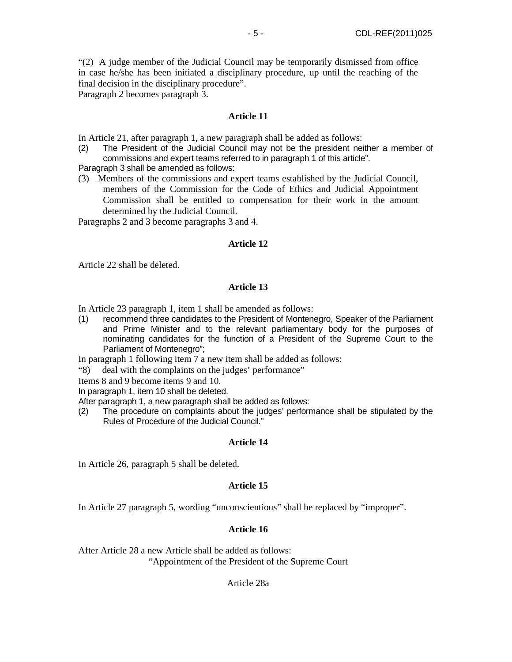"(2) A judge member of the Judicial Council may be temporarily dismissed from office in case he/she has been initiated a disciplinary procedure, up until the reaching of the final decision in the disciplinary procedure".

Paragraph 2 becomes paragraph 3.

## **Article 11**

In Article 21, after paragraph 1, a new paragraph shall be added as follows:

(2) The President of the Judicial Council may not be the president neither a member of commissions and expert teams referred to in paragraph 1 of this article".

Paragraph 3 shall be amended as follows:

(3) Members of the commissions and expert teams established by the Judicial Council, members of the Commission for the Code of Ethics and Judicial Appointment Commission shall be entitled to compensation for their work in the amount determined by the Judicial Council.

Paragraphs 2 and 3 become paragraphs 3 and 4.

#### **Article 12**

Article 22 shall be deleted.

## **Article 13**

In Article 23 paragraph 1, item 1 shall be amended as follows:

(1) recommend three candidates to the President of Montenegro, Speaker of the Parliament and Prime Minister and to the relevant parliamentary body for the purposes of nominating candidates for the function of a President of the Supreme Court to the Parliament of Montenegro";

In paragraph 1 following item 7 a new item shall be added as follows:

"8) deal with the complaints on the judges' performance"

Items 8 and 9 become items 9 and 10.

In paragraph 1, item 10 shall be deleted.

After paragraph 1, a new paragraph shall be added as follows:

(2) The procedure on complaints about the judges' performance shall be stipulated by the Rules of Procedure of the Judicial Council."

## **Article 14**

In Article 26, paragraph 5 shall be deleted.

## **Article 15**

In Article 27 paragraph 5, wording "unconscientious" shall be replaced by "improper".

## **Article 16**

After Article 28 a new Article shall be added as follows:

"Appointment of the President of the Supreme Court

## Article 28a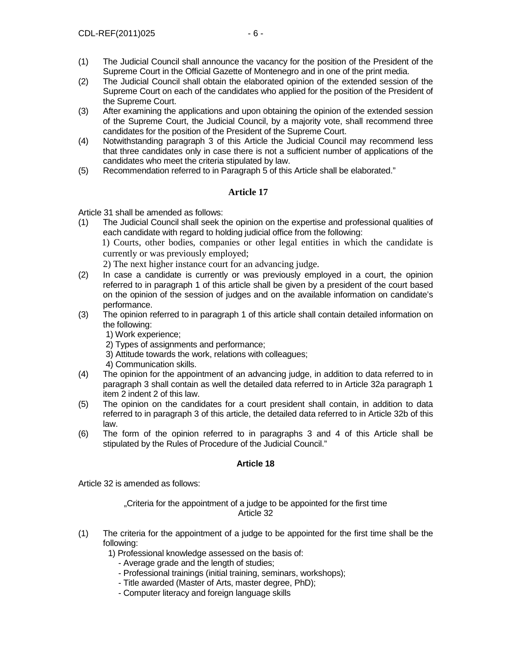- (1) The Judicial Council shall announce the vacancy for the position of the President of the Supreme Court in the Official Gazette of Montenegro and in one of the print media.
- (2) The Judicial Council shall obtain the elaborated opinion of the extended session of the Supreme Court on each of the candidates who applied for the position of the President of the Supreme Court.
- (3) After examining the applications and upon obtaining the opinion of the extended session of the Supreme Court, the Judicial Council, by a majority vote, shall recommend three candidates for the position of the President of the Supreme Court.
- (4) Notwithstanding paragraph 3 of this Article the Judicial Council may recommend less that three candidates only in case there is not a sufficient number of applications of the candidates who meet the criteria stipulated by law.
- (5) Recommendation referred to in Paragraph 5 of this Article shall be elaborated."

Article 31 shall be amended as follows:

(1) The Judicial Council shall seek the opinion on the expertise and professional qualities of each candidate with regard to holding judicial office from the following: 1) Courts, other bodies, companies or other legal entities in which the candidate is

currently or was previously employed;

2) The next higher instance court for an advancing judge.

- (2) In case a candidate is currently or was previously employed in a court, the opinion referred to in paragraph 1 of this article shall be given by a president of the court based on the opinion of the session of judges and on the available information on candidate's performance.
- (3) The opinion referred to in paragraph 1 of this article shall contain detailed information on the following:
	- 1) Work experience;
	- 2) Types of assignments and performance;
	- 3) Attitude towards the work, relations with colleagues;
	- 4) Communication skills.
- (4) The opinion for the appointment of an advancing judge, in addition to data referred to in paragraph 3 shall contain as well the detailed data referred to in Article 32a paragraph 1 item 2 indent 2 of this law.
- (5) The opinion on the candidates for a court president shall contain, in addition to data referred to in paragraph 3 of this article, the detailed data referred to in Article 32b of this law.
- (6) The form of the opinion referred to in paragraphs 3 and 4 of this Article shall be stipulated by the Rules of Procedure of the Judicial Council."

# **Article 18**

Article 32 is amended as follows:

"Criteria for the appointment of a judge to be appointed for the first time Article 32

- (1) The criteria for the appointment of a judge to be appointed for the first time shall be the following:
	- 1) Professional knowledge assessed on the basis of:
		- Average grade and the length of studies;
		- Professional trainings (initial training, seminars, workshops);
		- Title awarded (Master of Arts, master degree, PhD);
		- Computer literacy and foreign language skills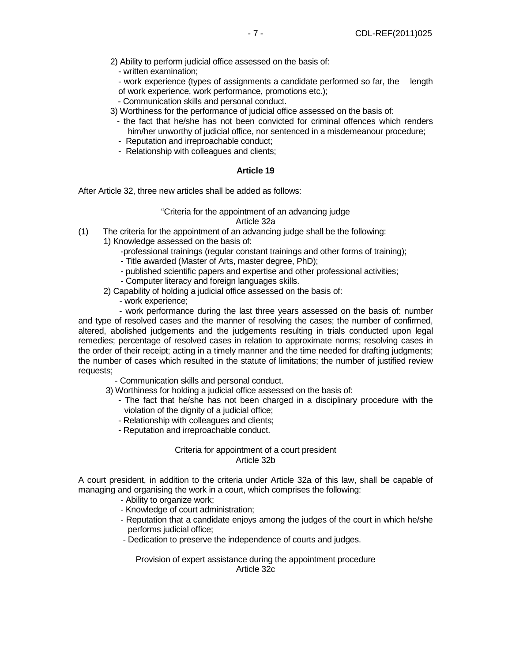- 2) Ability to perform judicial office assessed on the basis of:
	- written examination;
	- work experience (types of assignments a candidate performed so far, the length of work experience, work performance, promotions etc.);
	- Communication skills and personal conduct.
- 3) Worthiness for the performance of judicial office assessed on the basis of:
	- the fact that he/she has not been convicted for criminal offences which renders him/her unworthy of judicial office, nor sentenced in a misdemeanour procedure;
	- Reputation and irreproachable conduct;
	- Relationship with colleagues and clients;

After Article 32, three new articles shall be added as follows:

# "Criteria for the appointment of an advancing judge

#### Article 32a

- (1) The criteria for the appointment of an advancing judge shall be the following:
	- 1) Knowledge assessed on the basis of:
		- -professional trainings (regular constant trainings and other forms of training);
		- Title awarded (Master of Arts, master degree, PhD);
		- published scientific papers and expertise and other professional activities;
		- Computer literacy and foreign languages skills.
	- 2) Capability of holding a judicial office assessed on the basis of:
		- work experience;

 - work performance during the last three years assessed on the basis of: number and type of resolved cases and the manner of resolving the cases; the number of confirmed, altered, abolished judgements and the judgements resulting in trials conducted upon legal remedies; percentage of resolved cases in relation to approximate norms; resolving cases in the order of their receipt; acting in a timely manner and the time needed for drafting judgments; the number of cases which resulted in the statute of limitations; the number of justified review requests;

- Communication skills and personal conduct.
- 3) Worthiness for holding a judicial office assessed on the basis of:
	- The fact that he/she has not been charged in a disciplinary procedure with the violation of the dignity of a judicial office;
	- Relationship with colleagues and clients;
	- Reputation and irreproachable conduct.

#### Criteria for appointment of a court president Article 32b

A court president, in addition to the criteria under Article 32a of this law, shall be capable of managing and organising the work in a court, which comprises the following:

- Ability to organize work;
- Knowledge of court administration;
- Reputation that a candidate enjoys among the judges of the court in which he/she performs judicial office;
- Dedication to preserve the independence of courts and judges.

Provision of expert assistance during the appointment procedure Article 32c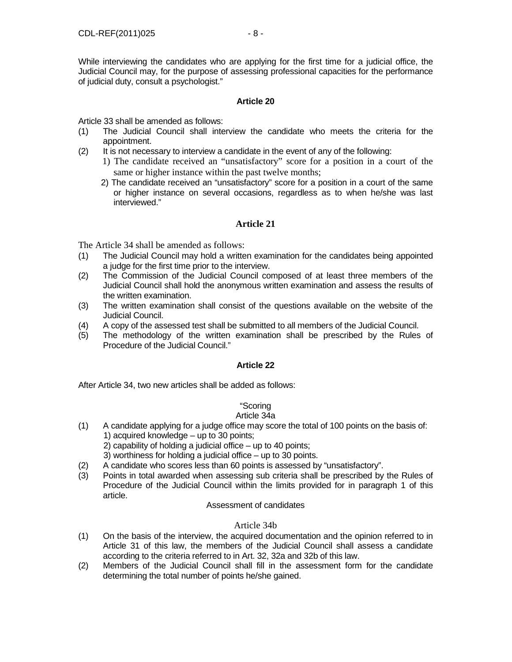While interviewing the candidates who are applying for the first time for a judicial office, the Judicial Council may, for the purpose of assessing professional capacities for the performance of judicial duty, consult a psychologist."

## **Article 20**

Article 33 shall be amended as follows:

- (1) The Judicial Council shall interview the candidate who meets the criteria for the appointment.
- (2) It is not necessary to interview a candidate in the event of any of the following:
	- 1) The candidate received an "unsatisfactory" score for a position in a court of the same or higher instance within the past twelve months;
	- 2) The candidate received an "unsatisfactory" score for a position in a court of the same or higher instance on several occasions, regardless as to when he/she was last interviewed."

## **Article 21**

The Article 34 shall be amended as follows:

- (1) The Judicial Council may hold a written examination for the candidates being appointed a judge for the first time prior to the interview.
- (2) The Commission of the Judicial Council composed of at least three members of the Judicial Council shall hold the anonymous written examination and assess the results of the written examination.
- (3) The written examination shall consist of the questions available on the website of the Judicial Council.
- (4) A copy of the assessed test shall be submitted to all members of the Judicial Council.
- (5) The methodology of the written examination shall be prescribed by the Rules of Procedure of the Judicial Council."

## **Article 22**

After Article 34, two new articles shall be added as follows:

## "Scoring

## Article 34a

- (1) A candidate applying for a judge office may score the total of 100 points on the basis of: 1) acquired knowledge – up to 30 points; 2) capability of holding a judicial office – up to 40 points;
	- 3) worthiness for holding a judicial office up to 30 points.
- (2) A candidate who scores less than 60 points is assessed by "unsatisfactory".
- (3) Points in total awarded when assessing sub criteria shall be prescribed by the Rules of Procedure of the Judicial Council within the limits provided for in paragraph 1 of this article.

#### Assessment of candidates

## Article 34b

- (1) On the basis of the interview, the acquired documentation and the opinion referred to in Article 31 of this law, the members of the Judicial Council shall assess a candidate according to the criteria referred to in Art. 32, 32a and 32b of this law.
- (2) Members of the Judicial Council shall fill in the assessment form for the candidate determining the total number of points he/she gained.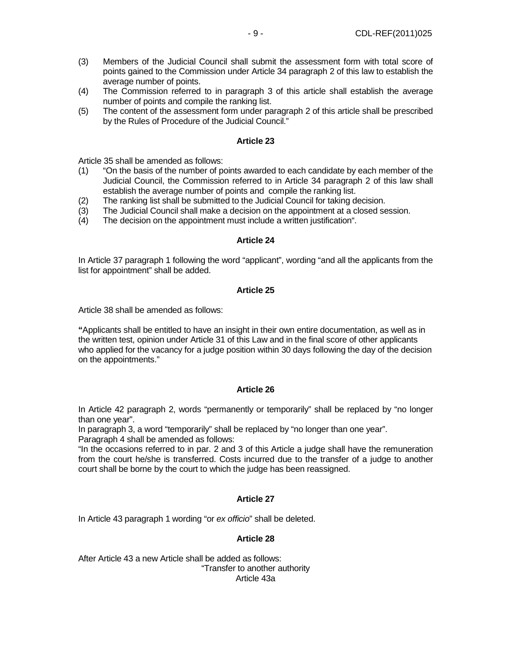- (3) Members of the Judicial Council shall submit the assessment form with total score of points gained to the Commission under Article 34 paragraph 2 of this law to establish the average number of points.
- (4) The Commission referred to in paragraph 3 of this article shall establish the average number of points and compile the ranking list.
- (5) The content of the assessment form under paragraph 2 of this article shall be prescribed by the Rules of Procedure of the Judicial Council."

Article 35 shall be amended as follows:

- (1) "On the basis of the number of points awarded to each candidate by each member of the Judicial Council, the Commission referred to in Article 34 paragraph 2 of this law shall establish the average number of points and compile the ranking list.
- (2) The ranking list shall be submitted to the Judicial Council for taking decision.
- (3) The Judicial Council shall make a decision on the appointment at a closed session.
- (4) The decision on the appointment must include a written justification".

#### **Article 24**

In Article 37 paragraph 1 following the word "applicant", wording "and all the applicants from the list for appointment" shall be added.

#### **Article 25**

Article 38 shall be amended as follows:

**"**Applicants shall be entitled to have an insight in their own entire documentation, as well as in the written test, opinion under Article 31 of this Law and in the final score of other applicants who applied for the vacancy for a judge position within 30 days following the day of the decision on the appointments."

#### **Article 26**

In Article 42 paragraph 2, words "permanently or temporarily" shall be replaced by "no longer than one year".

In paragraph 3, a word "temporarily" shall be replaced by "no longer than one year". Paragraph 4 shall be amended as follows:

"In the occasions referred to in par. 2 and 3 of this Article a judge shall have the remuneration from the court he/she is transferred. Costs incurred due to the transfer of a judge to another court shall be borne by the court to which the judge has been reassigned.

## **Article 27**

In Article 43 paragraph 1 wording "or ex officio" shall be deleted.

#### **Article 28**

After Article 43 a new Article shall be added as follows: "Transfer to another authority Article 43a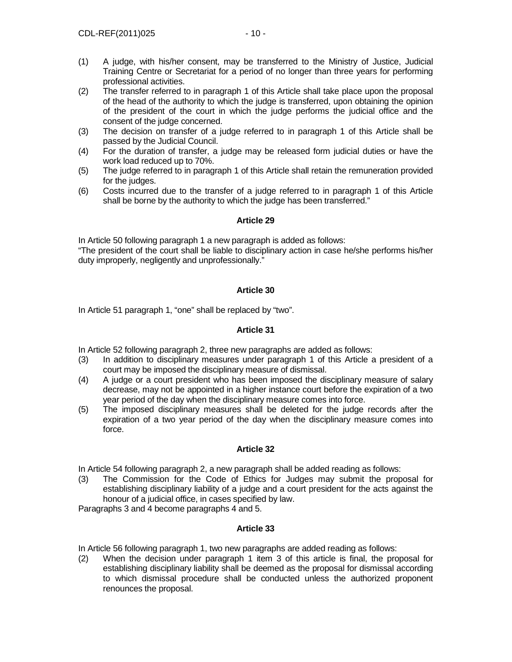- (2) The transfer referred to in paragraph 1 of this Article shall take place upon the proposal of the head of the authority to which the judge is transferred, upon obtaining the opinion of the president of the court in which the judge performs the judicial office and the consent of the judge concerned.
- (3) The decision on transfer of a judge referred to in paragraph 1 of this Article shall be passed by the Judicial Council.
- (4) For the duration of transfer, a judge may be released form judicial duties or have the work load reduced up to 70%.
- (5) The judge referred to in paragraph 1 of this Article shall retain the remuneration provided for the judges.
- (6) Costs incurred due to the transfer of a judge referred to in paragraph 1 of this Article shall be borne by the authority to which the judge has been transferred."

In Article 50 following paragraph 1 a new paragraph is added as follows:

"The president of the court shall be liable to disciplinary action in case he/she performs his/her duty improperly, negligently and unprofessionally."

## **Article 30**

In Article 51 paragraph 1, "one" shall be replaced by "two".

## **Article 31**

In Article 52 following paragraph 2, three new paragraphs are added as follows:

- (3) In addition to disciplinary measures under paragraph 1 of this Article a president of a court may be imposed the disciplinary measure of dismissal.
- (4) A judge or a court president who has been imposed the disciplinary measure of salary decrease, may not be appointed in a higher instance court before the expiration of a two year period of the day when the disciplinary measure comes into force.
- (5) The imposed disciplinary measures shall be deleted for the judge records after the expiration of a two year period of the day when the disciplinary measure comes into force.

## **Article 32**

In Article 54 following paragraph 2, a new paragraph shall be added reading as follows:

(3) The Commission for the Code of Ethics for Judges may submit the proposal for establishing disciplinary liability of a judge and a court president for the acts against the honour of a judicial office, in cases specified by law.

Paragraphs 3 and 4 become paragraphs 4 and 5.

## **Article 33**

In Article 56 following paragraph 1, two new paragraphs are added reading as follows:

(2) When the decision under paragraph 1 item 3 of this article is final, the proposal for establishing disciplinary liability shall be deemed as the proposal for dismissal according to which dismissal procedure shall be conducted unless the authorized proponent renounces the proposal.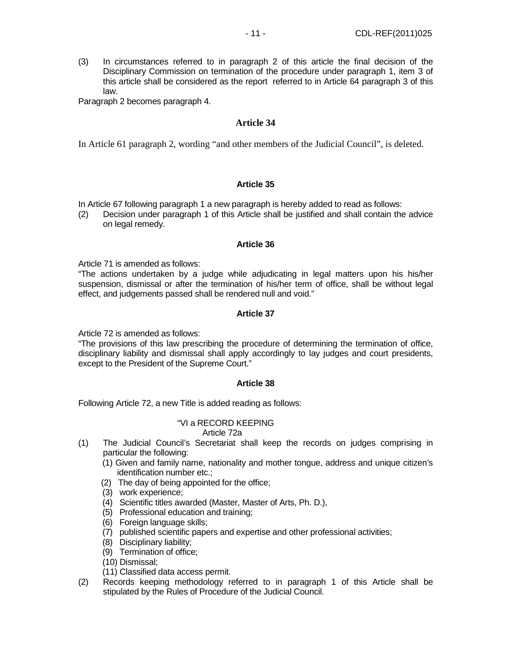(3) In circumstances referred to in paragraph 2 of this article the final decision of the Disciplinary Commission on termination of the procedure under paragraph 1, item 3 of this article shall be considered as the report referred to in Article 64 paragraph 3 of this law.

Paragraph 2 becomes paragraph 4.

#### **Article 34**

In Article 61 paragraph 2, wording "and other members of the Judicial Council", is deleted.

#### **Article 35**

In Article 67 following paragraph 1 a new paragraph is hereby added to read as follows:

(2) Decision under paragraph 1 of this Article shall be justified and shall contain the advice on legal remedy.

#### **Article 36**

Article 71 is amended as follows:

"The actions undertaken by a judge while adjudicating in legal matters upon his his/her suspension, dismissal or after the termination of his/her term of office, shall be without legal effect, and judgements passed shall be rendered null and void."

#### **Article 37**

Article 72 is amended as follows:

"The provisions of this law prescribing the procedure of determining the termination of office, disciplinary liability and dismissal shall apply accordingly to lay judges and court presidents, except to the President of the Supreme Court."

#### **Article 38**

Following Article 72, a new Title is added reading as follows:

#### "VI a RECORD KEEPING Article 72a

- (1) The Judicial Council's Secretariat shall keep the records on judges comprising in particular the following:
	- (1) Given and family name, nationality and mother tongue, address and unique citizen's identification number etc.;
	- (2) The day of being appointed for the office;
	- (3) work experience;
	- (4) Scientific titles awarded (Master, Master of Arts, Ph. D.),
	- (5) Professional education and training;
	- (6) Foreign language skills;
	- (7) published scientific papers and expertise and other professional activities;
	- (8) Disciplinary liability;
	- (9) Termination of office;
	- (10) Dismissal;
	- (11) Classified data access permit.
- (2) Records keeping methodology referred to in paragraph 1 of this Article shall be stipulated by the Rules of Procedure of the Judicial Council.